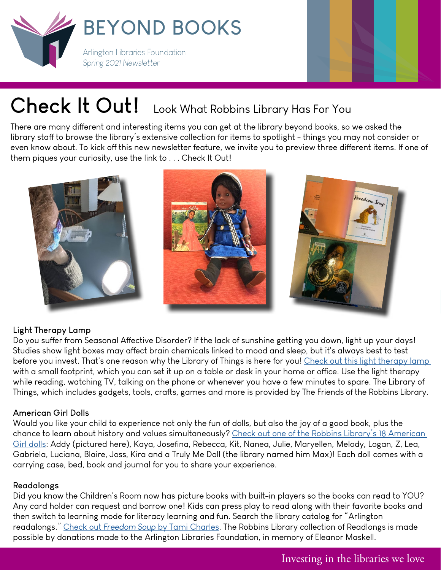



# **Check It Out!** Look What Robbins Library Has For You

There are many different and interesting items you can get at the library beyond books, so we asked the library staff to browse the library's extensive collection for items to spotlight - things you may not consider or even know about. To kick off this new newsletter feature, we invite you to preview three different items. If one of them piques your curiosity, use the link to . . . Check It Out!



### **Light Therapy Lamp**

Do you suffer from Seasonal Affective Disorder? If the lack of sunshine getting you down, light up your days! Studies show light boxes may affect brain chemicals linked to mood and sleep, but it's always best to test before you invest. That's one reason why the Library of Things is here for you! Check out this light therapy lamp with a small footprint, which you can set it up on a table or desk in your home or office. Use the light therapy while reading, watching TV, talking on the phone or whenever you have a few minutes to spare. The Library of Things, which includes gadgets, tools, crafts, games and more is provided by The Friends of the Robbins Library.

## **American Girl Dolls**

Would you like your child to experience not only the fun of dolls, but also the joy of a good book, plus the chance to learn about history and values simultaneously? Check out one of the Robbins Library's 18 American [Girl dolls:](https://find.minlib.net/iii/encore/record/C__Rb3471855__SAmerican%20girl%20doll%20arlington__Orightresult__U__X1?lang=eng&suite=cobalt) Addy (pictured here), Kaya, Josefina, Rebecca, Kit, Nanea, Julie, Maryellen, Melody, Logan, Z, Lea, Gabriela, Luciana, Blaire, Joss, Kira and a Truly Me Doll (the library named him Max)! Each doll comes with a carrying case, bed, book and journal for you to share your experience.

### **Readalongs**

Did you know the Children's Room now has picture books with built-in players so the books can read to YOU? Any card holder can request and borrow one! Kids can press play to read along with their favorite books and then switch to learning mode for literacy learning and fun. Search the library catalog for "Arlington readalongs." Check out *Freedom Soup* [by Tami Charles](https://find.minlib.net/iii/encore/record/C__Rb3974910?lang=eng). The Robbins Library collection of Readlongs is made possible by donations made to the Arlington Libraries Foundation, in memory of Eleanor Maskell.